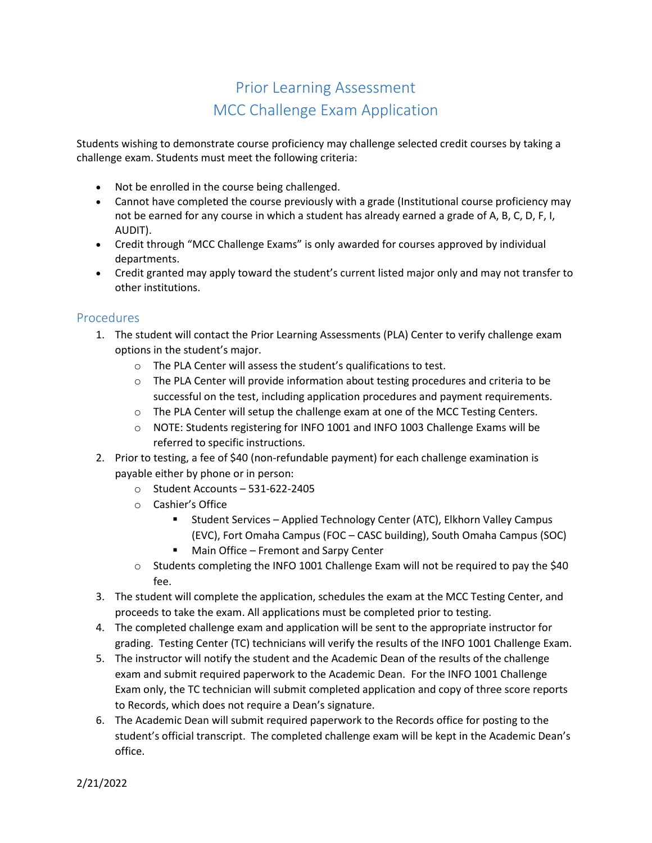# Prior Learning Assessment MCC Challenge Exam Application

Students wishing to demonstrate course proficiency may challenge selected credit courses by taking a challenge exam. Students must meet the following criteria:

- Not be enrolled in the course being challenged.
- Cannot have completed the course previously with a grade (Institutional course proficiency may not be earned for any course in which a student has already earned a grade of A, B, C, D, F, I, AUDIT).
- Credit through "MCC Challenge Exams" is only awarded for courses approved by individual departments.
- Credit granted may apply toward the student's current listed major only and may not transfer to other institutions.

### **Procedures**

- 1. The student will contact the Prior Learning Assessments (PLA) Center to verify challenge exam options in the student's major.
	- o The PLA Center will assess the student's qualifications to test.
	- $\circ$  The PLA Center will provide information about testing procedures and criteria to be successful on the test, including application procedures and payment requirements.
	- $\circ$  The PLA Center will setup the challenge exam at one of the MCC Testing Centers.
	- o NOTE: Students registering for INFO 1001 and INFO 1003 Challenge Exams will be referred to specific instructions.
- 2. Prior to testing, a fee of \$40 (non-refundable payment) for each challenge examination is payable either by phone or in person:
	- $\circ$  Student Accounts 531-622-2405
	- o Cashier's Office
		- **E** Student Services Applied Technology Center (ATC), Elkhorn Valley Campus (EVC), Fort Omaha Campus (FOC – CASC building), South Omaha Campus (SOC)
		- Main Office Fremont and Sarpy Center
	- $\circ$  Students completing the INFO 1001 Challenge Exam will not be required to pay the \$40 fee.
- 3. The student will complete the application, schedules the exam at the MCC Testing Center, and proceeds to take the exam. All applications must be completed prior to testing.
- 4. The completed challenge exam and application will be sent to the appropriate instructor for grading. Testing Center (TC) technicians will verify the results of the INFO 1001 Challenge Exam.
- 5. The instructor will notify the student and the Academic Dean of the results of the challenge exam and submit required paperwork to the Academic Dean. For the INFO 1001 Challenge Exam only, the TC technician will submit completed application and copy of three score reports to Records, which does not require a Dean's signature.
- 6. The Academic Dean will submit required paperwork to the Records office for posting to the student's official transcript. The completed challenge exam will be kept in the Academic Dean's office.